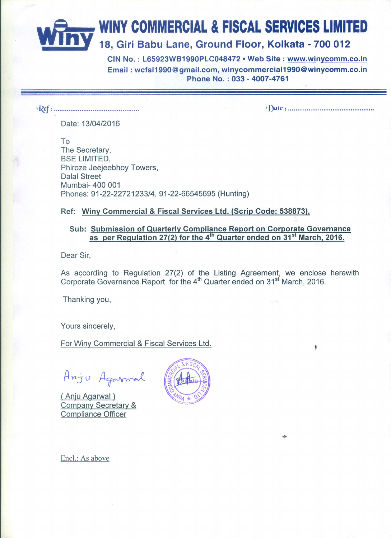# WINY COMMERCIAL & FISCAL SERVICES LIMITED 18, Giri Babu Lane, Ground Floor, Kolkata - 700 012

CIN No.: L65923WB1990PLC048472 . Web Site: www.winycomm.co.in Email: wcfsl1990@gmail.com, winycommercial1990@winycomm.co.in Phone No.: 033 - 4007-4761

Date: 13/04/2016

To The Secretary, **BSE LIMITED,** Phiroze Jeejeebhoy Towers, **Dalal Street** Mumbai- 400 001 Phones: 91-22-22721233/4, 91-22-66545695 (Hunting)

Ref: Winy Commercial & Fiscal Services Ltd. (Scrip Code: 538873),

#### Sub: Submission of Quarterly Compliance Report on Corporate Governance as per Regulation 27(2) for the  $4^{th}$  Quarter ended on  $31^{st}$  March, 2016.

Dear Sir.

As according to Regulation 27(2) of the Listing Agreement, we enclose herewith Corporate Governance Report for the 4<sup>th</sup> Quarter ended on 31<sup>st</sup> March, 2016.

Thanking you,

Yours sincerely,

For Winy Commercial & Fiscal Services Ltd.

Anju Agarmal

(Anju Agarwal) **Company Secretary & Compliance Officer** 



Encl.: As above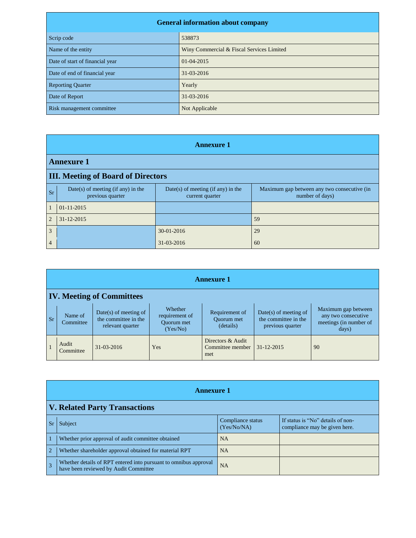| <b>General information about company</b> |                                           |  |
|------------------------------------------|-------------------------------------------|--|
| Scrip code                               | 538873                                    |  |
| Name of the entity                       | Winy Commercial & Fiscal Services Limited |  |
| Date of start of financial year          | $01-04-2015$                              |  |
| Date of end of financial year            | 31-03-2016                                |  |
| <b>Reporting Quarter</b>                 | Yearly                                    |  |
| Date of Report                           | 31-03-2016                                |  |
| Risk management committee                | Not Applicable                            |  |

|                | <b>Annexure 1</b>                                      |                                                         |                                                                |  |  |
|----------------|--------------------------------------------------------|---------------------------------------------------------|----------------------------------------------------------------|--|--|
|                | <b>Annexure 1</b>                                      |                                                         |                                                                |  |  |
|                | <b>III. Meeting of Board of Directors</b>              |                                                         |                                                                |  |  |
| Sr             | Date(s) of meeting (if any) in the<br>previous quarter | $Date(s)$ of meeting (if any) in the<br>current quarter | Maximum gap between any two consecutive (in<br>number of days) |  |  |
| $\mathbf{1}$   | $01-11-2015$                                           |                                                         |                                                                |  |  |
| $\overline{2}$ | $31 - 12 - 2015$                                       |                                                         | 59                                                             |  |  |
| 3              |                                                        | 30-01-2016                                              | 29                                                             |  |  |
| 4              |                                                        | 31-03-2016                                              | 60                                                             |  |  |

|           | <b>Annexure 1</b>                |                                                                     |                                                     |                                                  |                                                                     |                                                                               |
|-----------|----------------------------------|---------------------------------------------------------------------|-----------------------------------------------------|--------------------------------------------------|---------------------------------------------------------------------|-------------------------------------------------------------------------------|
|           | <b>IV. Meeting of Committees</b> |                                                                     |                                                     |                                                  |                                                                     |                                                                               |
| <b>Sr</b> | Name of<br>Committee             | $Date(s)$ of meeting of<br>the committee in the<br>relevant quarter | Whether<br>requirement of<br>Ouorum met<br>(Yes/No) | Requirement of<br><b>Ouorum</b> met<br>(details) | $Date(s)$ of meeting of<br>the committee in the<br>previous quarter | Maximum gap between<br>any two consecutive<br>meetings (in number of<br>days) |
|           | Audit<br>Committee               | $31 - 03 - 2016$                                                    | Yes                                                 | Directors & Audit<br>Committee member<br>met     | $31 - 12 - 2015$                                                    | 90                                                                            |

|                | <b>Annexure 1</b>                                                                                         |                                  |                                                                    |  |  |
|----------------|-----------------------------------------------------------------------------------------------------------|----------------------------------|--------------------------------------------------------------------|--|--|
|                | <b>V. Related Party Transactions</b>                                                                      |                                  |                                                                    |  |  |
|                | Subject                                                                                                   | Compliance status<br>(Yes/No/NA) | If status is "No" details of non-<br>compliance may be given here. |  |  |
| $\overline{1}$ | Whether prior approval of audit committee obtained                                                        | <b>NA</b>                        |                                                                    |  |  |
| $\sqrt{2}$     | Whether shareholder approval obtained for material RPT                                                    | <b>NA</b>                        |                                                                    |  |  |
| $\overline{3}$ | Whether details of RPT entered into pursuant to omnibus approval<br>have been reviewed by Audit Committee | <b>NA</b>                        |                                                                    |  |  |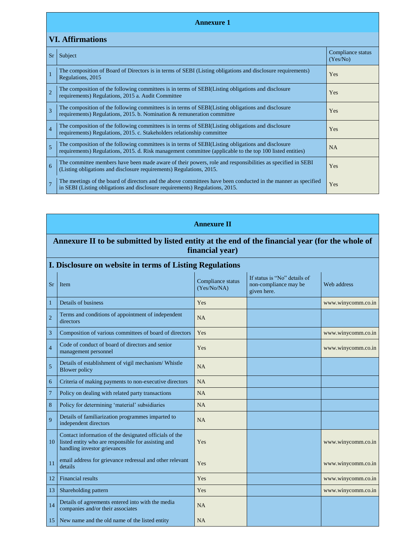#### **Annexure 1**

## **VI. Affirmations**

| <b>Sr</b>      | Subject                                                                                                                                                                                                         | Compliance status<br>(Yes/No) |
|----------------|-----------------------------------------------------------------------------------------------------------------------------------------------------------------------------------------------------------------|-------------------------------|
|                | The composition of Board of Directors is in terms of SEBI (Listing obligations and disclosure requirements)<br>Regulations, 2015                                                                                | Yes                           |
| $\overline{2}$ | The composition of the following committees is in terms of SEBI(Listing obligations and disclosure<br>requirements) Regulations, 2015 a. Audit Committee                                                        | Yes                           |
| 3              | The composition of the following committees is in terms of SEBI(Listing obligations and disclosure<br>requirements) Regulations, 2015. b. Nomination & remuneration committee                                   | <b>Yes</b>                    |
| $\overline{4}$ | The composition of the following committees is in terms of SEBI(Listing obligations and disclosure<br>requirements) Regulations, 2015. c. Stakeholders relationship committee                                   | Yes                           |
| 5              | The composition of the following committees is in terms of SEBI(Listing obligations and disclosure<br>requirements) Regulations, 2015. d. Risk management committee (applicable to the top 100 listed entities) | <b>NA</b>                     |
| 6              | The committee members have been made aware of their powers, role and responsibilities as specified in SEBI<br>(Listing obligations and disclosure requirements) Regulations, 2015.                              | Yes                           |
| $\overline{7}$ | The meetings of the board of directors and the above committees have been conducted in the manner as specified<br>in SEBI (Listing obligations and disclosure requirements) Regulations, 2015.                  | Yes                           |

#### **Annexure II**

### **Annexure II to be submitted by listed entity at the end of the financial year (for the whole of financial year)**

#### **I. Disclosure on website in terms of Listing Regulations**

| <b>Sr</b>      | Item                                                                                                                                          | Compliance status<br>(Yes/No/NA) | If status is "No" details of<br>non-compliance may be<br>given here. | Web address        |
|----------------|-----------------------------------------------------------------------------------------------------------------------------------------------|----------------------------------|----------------------------------------------------------------------|--------------------|
| 1              | Details of business                                                                                                                           | <b>Yes</b>                       |                                                                      | www.winycomm.co.in |
| $\overline{2}$ | Terms and conditions of appointment of independent<br>directors                                                                               | NA                               |                                                                      |                    |
| 3              | Composition of various committees of board of directors                                                                                       | Yes                              |                                                                      | www.winycomm.co.in |
| $\overline{4}$ | Code of conduct of board of directors and senior<br>management personnel                                                                      | Yes                              |                                                                      | www.winycomm.co.in |
| 5              | Details of establishment of vigil mechanism/ Whistle<br><b>Blower policy</b>                                                                  | NA                               |                                                                      |                    |
| 6              | Criteria of making payments to non-executive directors                                                                                        | <b>NA</b>                        |                                                                      |                    |
| $\overline{7}$ | Policy on dealing with related party transactions                                                                                             | NA                               |                                                                      |                    |
| 8              | Policy for determining 'material' subsidiaries                                                                                                | NA                               |                                                                      |                    |
| 9              | Details of familiarization programmes imparted to<br>independent directors                                                                    | NA                               |                                                                      |                    |
| 10             | Contact information of the designated officials of the<br>listed entity who are responsible for assisting and<br>handling investor grievances | Yes                              |                                                                      | www.winycomm.co.in |
| 11             | email address for grievance redressal and other relevant<br>details                                                                           | Yes                              |                                                                      | www.winycomm.co.in |
| 12             | Financial results                                                                                                                             | Yes                              |                                                                      | www.winycomm.co.in |
| 13             | Shareholding pattern                                                                                                                          | Yes                              |                                                                      | www.winycomm.co.in |
| 14             | Details of agreements entered into with the media<br>companies and/or their associates                                                        | NA                               |                                                                      |                    |
| 15             | New name and the old name of the listed entity                                                                                                | NA                               |                                                                      |                    |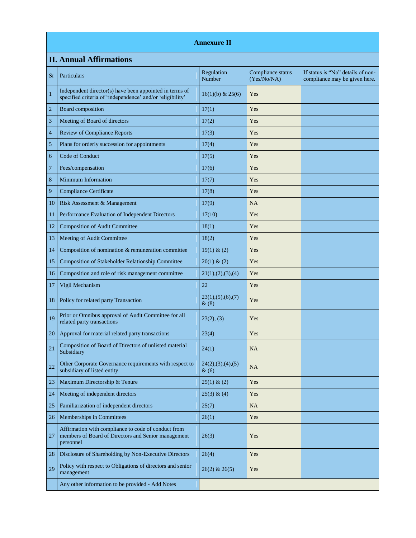#### **Annexure II**

# **II. Annual Affirmations**

| <b>Sr</b>      | Particulars                                                                                                             | Regulation<br>Number         | Compliance status<br>(Yes/No/NA) | If status is "No" details of non-<br>compliance may be given here. |
|----------------|-------------------------------------------------------------------------------------------------------------------------|------------------------------|----------------------------------|--------------------------------------------------------------------|
| $\mathbf{1}$   | Independent director(s) have been appointed in terms of<br>specified criteria of 'independence' and/or 'eligibility'    | $16(1)(b)$ & 25(6)           | Yes                              |                                                                    |
| 2              | Board composition                                                                                                       | 17(1)                        | Yes                              |                                                                    |
| 3              | Meeting of Board of directors                                                                                           | 17(2)                        | Yes                              |                                                                    |
| 4              | <b>Review of Compliance Reports</b>                                                                                     | 17(3)                        | Yes                              |                                                                    |
| 5              | Plans for orderly succession for appointments                                                                           | 17(4)                        | Yes                              |                                                                    |
| 6              | Code of Conduct                                                                                                         | 17(5)                        | Yes                              |                                                                    |
| $\overline{7}$ | Fees/compensation                                                                                                       | 17(6)                        | Yes                              |                                                                    |
| $\,8\,$        | <b>Minimum Information</b>                                                                                              | 17(7)                        | Yes                              |                                                                    |
| 9              | <b>Compliance Certificate</b>                                                                                           | 17(8)                        | Yes                              |                                                                    |
| 10             | Risk Assessment & Management                                                                                            | 17(9)                        | NA                               |                                                                    |
| 11             | Performance Evaluation of Independent Directors                                                                         | 17(10)                       | Yes                              |                                                                    |
| 12             | <b>Composition of Audit Committee</b>                                                                                   | 18(1)                        | Yes                              |                                                                    |
| 13             | Meeting of Audit Committee                                                                                              | 18(2)                        | Yes                              |                                                                    |
| 14             | Composition of nomination & remuneration committee                                                                      | 19(1) & (2)                  | Yes                              |                                                                    |
| 15             | Composition of Stakeholder Relationship Committee                                                                       | 20(1) & (2)                  | Yes                              |                                                                    |
| 16             | Composition and role of risk management committee                                                                       | 21(1), (2), (3), (4)         | Yes                              |                                                                    |
| 17             | Vigil Mechanism                                                                                                         | 22                           | Yes                              |                                                                    |
| 18             | Policy for related party Transaction                                                                                    | 23(1), (5), (6), (7)<br>&(8) | Yes                              |                                                                    |
| 19             | Prior or Omnibus approval of Audit Committee for all<br>related party transactions                                      | 23(2), (3)                   | Yes                              |                                                                    |
| 20             | Approval for material related party transactions                                                                        | 23(4)                        | Yes                              |                                                                    |
| 21             | Composition of Board of Directors of unlisted material<br>Subsidiary                                                    | 24(1)                        | NA                               |                                                                    |
| 22             | Other Corporate Governance requirements with respect to<br>subsidiary of listed entity                                  | 24(2),(3),(4),(5)<br>&(6)    | <b>NA</b>                        |                                                                    |
| 23             | Maximum Directorship & Tenure                                                                                           | 25(1) & (2)                  | Yes                              |                                                                    |
| 24             | Meeting of independent directors                                                                                        | 25(3) & (4)                  | Yes                              |                                                                    |
| 25             | Familiarization of independent directors                                                                                | 25(7)                        | NA                               |                                                                    |
| 26             | Memberships in Committees                                                                                               | 26(1)                        | Yes                              |                                                                    |
| 27             | Affirmation with compliance to code of conduct from<br>members of Board of Directors and Senior management<br>personnel | 26(3)                        | Yes                              |                                                                    |
| 28             | Disclosure of Shareholding by Non-Executive Directors                                                                   | 26(4)                        | Yes                              |                                                                    |
| 29             | Policy with respect to Obligations of directors and senior<br>management                                                | $26(2)$ & $26(5)$            | Yes                              |                                                                    |
|                | Any other information to be provided - Add Notes                                                                        |                              |                                  |                                                                    |